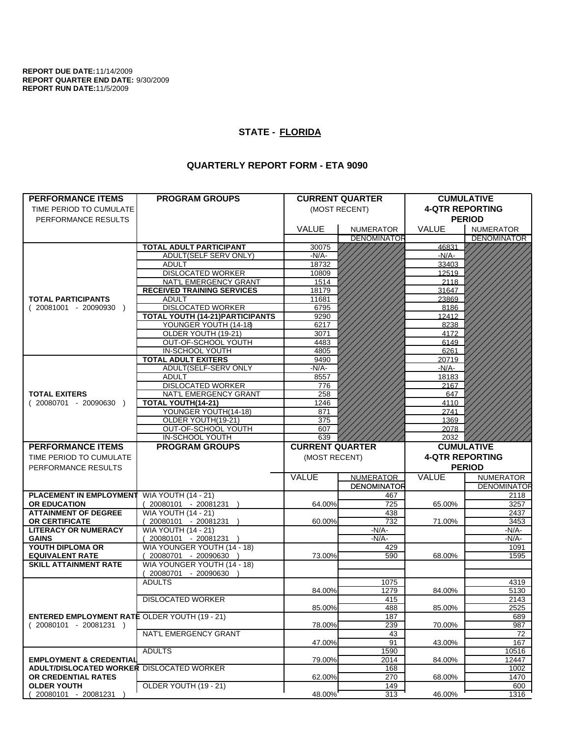**REPORT DUE DATE:**11/14/2009 **REPORT QUARTER END DATE:** 9/30/2009 **REPORT RUN DATE:**11/5/2009

## **STATE - FLORIDA**

## **QUARTERLY REPORT FORM - ETA 9090**

| <b>PERFORMANCE ITEMS</b>                             | <b>PROGRAM GROUPS</b>                     |                        | <b>CURRENT QUARTER</b>                 | <b>CUMULATIVE</b>      |                                        |
|------------------------------------------------------|-------------------------------------------|------------------------|----------------------------------------|------------------------|----------------------------------------|
| TIME PERIOD TO CUMULATE                              |                                           | (MOST RECENT)          |                                        | <b>4-QTR REPORTING</b> |                                        |
|                                                      |                                           |                        |                                        | <b>PERIOD</b>          |                                        |
| PERFORMANCE RESULTS                                  |                                           |                        |                                        |                        |                                        |
|                                                      |                                           | <b>VALUE</b>           | <b>NUMERATOR</b><br><b>DENOMINATOR</b> | <b>VALUE</b>           | <b>NUMERATOR</b><br><b>DENOMINATOR</b> |
|                                                      | <b>TOTAL ADULT PARTICIPANT</b>            | 30075                  |                                        | 46831                  |                                        |
|                                                      | ADULT(SELF SERV ONLY)                     | -N/A-                  |                                        | $-N/A$ -               |                                        |
|                                                      | <b>ADULT</b>                              | 18732                  |                                        | 33403                  |                                        |
|                                                      | <b>DISLOCATED WORKER</b>                  | 10809                  |                                        | 12519                  |                                        |
|                                                      | NAT'L EMERGENCY GRANT                     | 1514                   |                                        | 2118                   |                                        |
|                                                      | <b>RECEIVED TRAINING SERVICES</b>         | 18179                  |                                        | 31647                  |                                        |
| <b>TOTAL PARTICIPANTS</b>                            | <b>ADULT</b>                              | 11681                  |                                        | 23869                  |                                        |
| $(20081001 - 20090930)$                              | <b>DISLOCATED WORKER</b>                  | 6795                   |                                        | 8186                   |                                        |
|                                                      | <b>TOTAL YOUTH (14-21)PARTICIPANTS</b>    | 9290                   |                                        | 12412                  |                                        |
|                                                      | YOUNGER YOUTH (14-18)                     | 6217                   |                                        | 8238                   |                                        |
|                                                      | OLDER YOUTH (19-21)                       | 3071                   |                                        | 4172                   |                                        |
|                                                      | OUT-OF-SCHOOL YOUTH                       | 4483                   |                                        | 6149                   |                                        |
|                                                      | IN-SCHOOL YOUTH                           | 4805                   |                                        | 6261                   |                                        |
|                                                      | <b>TOTAL ADULT EXITERS</b>                | 9490                   |                                        | 20719                  |                                        |
|                                                      | ADULT(SELF-SERV ONLY                      | -N/A-                  |                                        | $-N/A$ -               |                                        |
|                                                      | <b>ADULT</b>                              | 8557                   |                                        | 18183                  |                                        |
|                                                      | <b>DISLOCATED WORKER</b>                  | 776                    |                                        | 2167                   |                                        |
| <b>TOTAL EXITERS</b>                                 | NAT'L EMERGENCY GRANT                     | 258                    |                                        | 647                    |                                        |
| $(20080701 - 20090630)$                              | TOTAL YOUTH(14-21)                        | 1246                   |                                        | 4110                   |                                        |
|                                                      | YOUNGER YOUTH(14-18)                      | 871                    |                                        | 2741                   |                                        |
|                                                      | OLDER YOUTH(19-21)<br>OUT-OF-SCHOOL YOUTH | 375<br>607             |                                        | 1369<br>2078           |                                        |
|                                                      | IN-SCHOOL YOUTH                           | 639                    |                                        | 2032                   |                                        |
|                                                      | <b>PROGRAM GROUPS</b>                     | <b>CURRENT QUARTER</b> |                                        | <b>CUMULATIVE</b>      |                                        |
|                                                      |                                           |                        |                                        |                        |                                        |
| <b>PERFORMANCE ITEMS</b>                             |                                           |                        |                                        |                        |                                        |
| TIME PERIOD TO CUMULATE                              |                                           | (MOST RECENT)          |                                        | <b>4-QTR REPORTING</b> |                                        |
| PERFORMANCE RESULTS                                  |                                           |                        |                                        |                        | <b>PERIOD</b>                          |
|                                                      |                                           | VALUE                  | <b>NUMERATOR</b>                       | VALUE                  | <b>NUMERATOR</b>                       |
|                                                      |                                           |                        | <b>DENOMINATOR</b>                     |                        | <b>DENOMINATOR</b>                     |
| <b>PLACEMENT IN EMPLOYMENT</b>                       | <b>WIA YOUTH (14 - 21)</b>                |                        | 467                                    |                        | 2118                                   |
| <b>OR EDUCATION</b>                                  | 20080101 - 20081231 )                     | 64.00%                 | 725                                    | 65.00%                 | 3257                                   |
| <b>ATTAINMENT OF DEGREE</b>                          | <b>WIA YOUTH (14 - 21)</b>                |                        | 438                                    |                        | 2437                                   |
| OR CERTIFICATE                                       | 20080101 - 20081231 )                     | 60.00%                 | 732                                    | 71.00%                 | 3453                                   |
| <b>LITERACY OR NUMERACY</b>                          | <b>WIA YOUTH (14 - 21)</b>                |                        | -N/A-                                  |                        | -N/A-                                  |
| <b>GAINS</b>                                         | 20080101 - 20081231 )                     |                        | $-N/A-$                                |                        | -N/A-                                  |
| YOUTH DIPLOMA OR                                     | WIA YOUNGER YOUTH (14 - 18)               |                        | 429                                    |                        | 1091                                   |
| <b>EQUIVALENT RATE</b>                               | 20080701 - 20090630 )                     | 73.00%                 | 590                                    | 68.00%                 | 1595                                   |
| <b>SKILL ATTAINMENT RATE</b>                         | WIA YOUNGER YOUTH (14 - 18)               |                        |                                        |                        |                                        |
|                                                      | (20080701 - 20090630<br><b>ADULTS</b>     |                        |                                        |                        |                                        |
|                                                      |                                           | 84.00%                 | 1075<br>1279                           | 84.00%                 | 4319<br>5130                           |
|                                                      | <b>DISLOCATED WORKER</b>                  |                        | 415                                    |                        | 2143                                   |
|                                                      |                                           |                        |                                        |                        |                                        |
| <b>ENTERED EMPLOYMENT RATE OLDER YOUTH (19 - 21)</b> |                                           | 85.00%                 | 488<br>187                             | 85.00%                 | 2525<br>689                            |
| $(20080101 - 20081231)$                              |                                           | 78.00%                 | 239                                    | 70.00%                 | 987                                    |
|                                                      | NAT'L EMERGENCY GRANT                     |                        | 43                                     |                        | 72                                     |
|                                                      |                                           | 47.00%                 | 91                                     | 43.00%                 | 167                                    |
|                                                      | <b>ADULTS</b>                             |                        | 1590                                   |                        | 10516                                  |
| <b>EMPLOYMENT &amp; CREDENTIAL</b>                   |                                           | 79.00%                 | 2014                                   | 84.00%                 | 12447                                  |
| <b>ADULT/DISLOCATED WORKER DISLOCATED WORKER</b>     |                                           |                        | 168                                    |                        | 1002                                   |
| OR CREDENTIAL RATES                                  |                                           | 62.00%                 | 270                                    | 68.00%                 | 1470                                   |
| <b>OLDER YOUTH</b><br>20080101 - 20081231            | OLDER YOUTH (19 - 21)                     | 48.00%                 | 149<br>313                             | 46.00%                 | 600<br>1316                            |